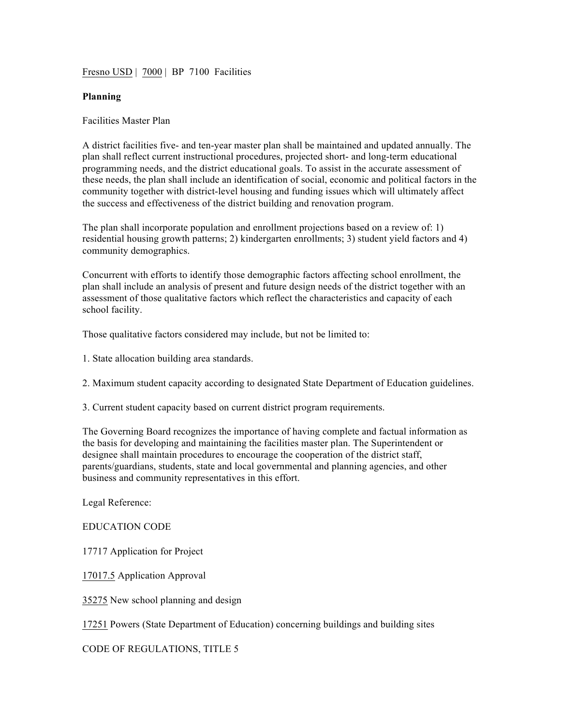Fresno USD | 7000 | BP 7100 Facilities

## **Planning**

## Facilities Master Plan

A district facilities five- and ten-year master plan shall be maintained and updated annually. The plan shall reflect current instructional procedures, projected short- and long-term educational programming needs, and the district educational goals. To assist in the accurate assessment of these needs, the plan shall include an identification of social, economic and political factors in the community together with district-level housing and funding issues which will ultimately affect the success and effectiveness of the district building and renovation program.

The plan shall incorporate population and enrollment projections based on a review of: 1) residential housing growth patterns; 2) kindergarten enrollments; 3) student yield factors and 4) community demographics.

Concurrent with efforts to identify those demographic factors affecting school enrollment, the plan shall include an analysis of present and future design needs of the district together with an assessment of those qualitative factors which reflect the characteristics and capacity of each school facility.

Those qualitative factors considered may include, but not be limited to:

- 1. State allocation building area standards.
- 2. Maximum student capacity according to designated State Department of Education guidelines.
- 3. Current student capacity based on current district program requirements.

The Governing Board recognizes the importance of having complete and factual information as the basis for developing and maintaining the facilities master plan. The Superintendent or designee shall maintain procedures to encourage the cooperation of the district staff, parents/guardians, students, state and local governmental and planning agencies, and other business and community representatives in this effort.

Legal Reference:

## EDUCATION CODE

17717 Application for Project

17017.5 Application Approval

35275 New school planning and design

17251 Powers (State Department of Education) concerning buildings and building sites

CODE OF REGULATIONS, TITLE 5